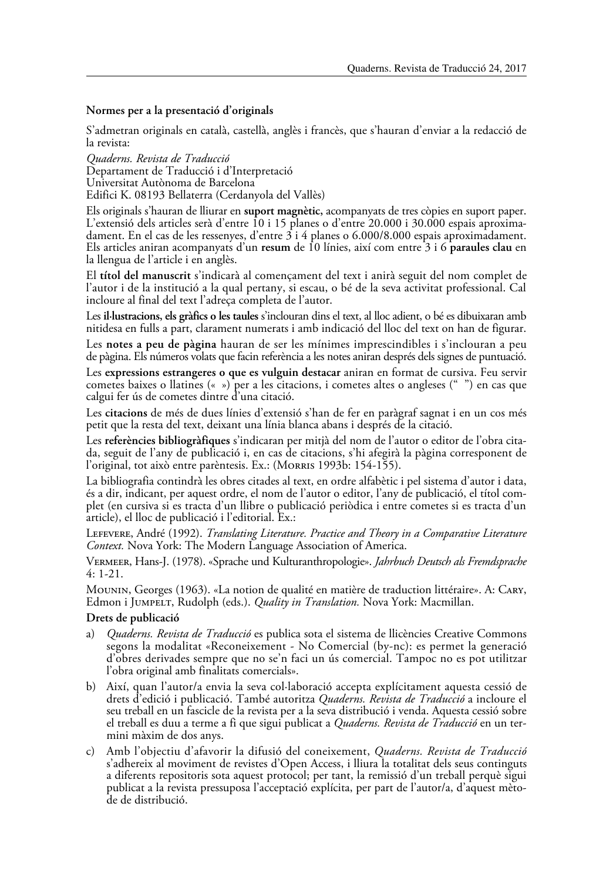## **Normes per a la presentació d'originals**

S'admetran originals en català, castellà, anglès i francès, que s'hauran d'enviar a la redacció de la revista:

*Quaderns. Revista de Traducció* Departament de Traducció i d'Interpretació Universitat Autònoma de Barcelona Edifici K. 08193 Bellaterra (Cerdanyola del Vallès)

Els originals s'hauran de lliurar en **suport magnètic,** acompanyats de tres còpies en suport paper. L'extensió dels articles serà d'entre 10 i 15 planes o d'entre 20.000 i 30.000 espais aproximadament. En el cas de les ressenyes, d'entre 3 i 4 planes o 6.000/8.000 espais aproximadament. Els articles aniran acompanyats d'un **resum** de 10 línies, així com entre 3 i 6 **paraules clau** en la llengua de l'article i en anglès.

El **títol del manuscrit** s'indicarà al començament del text i anirà seguit del nom complet de l'autor i de la institució a la qual pertany, si escau, o bé de la seva activitat professional. Cal incloure al final del text l'adreça completa de l'autor.

Les **il·lustracions, els gràfics o les taules** s'inclouran dins el text, al lloc adient, o bé es dibuixaran amb nitidesa en fulls a part, clarament numerats i amb indicació del lloc del text on han de figurar.

Les **notes a peu de pàgina** hauran de ser les mínimes imprescindibles i s'inclouran a peu de pàgina. Els números volats que facin referència a les notes aniran després dels signes de puntuació.

Les **expressions estrangeres o que es vulguin destacar** aniran en format de cursiva. Feu servir cometes baixes o llatines (« ») per a les citacions, i cometes altes o angleses (" ") en cas que calgui fer ús de cometes dintre d'una citació.

Les **citacions** de més de dues línies d'extensió s'han de fer en paràgraf sagnat i en un cos més petit que la resta del text, deixant una línia blanca abans i després de la citació.

Les **referències bibliogràfiques** s'indicaran per mitjà del nom de l'autor o editor de l'obra citada, seguit de l'any de publicació i, en cas de citacions, s'hi afegirà la pàgina corresponent de l'original, tot això entre parèntesis. Ex.: (MORRIS 1993b: 154-155).

La bibliografia contindrà les obres citades al text, en ordre alfabètic i pel sistema d'autor i data, és a dir, indicant, per aquest ordre, el nom de l'autor o editor, l'any de publicació, el títol complet (en cursiva si es tracta d'un llibre o publicació periòdica i entre cometes si es tracta d'un article), el lloc de publicació i l'editorial. Ex.:

Lefevere, André (1992). *Translating Literature. Practice and Theory in a Comparative Literature Context.* Nova York: The Modern Language Association of America.

Vermeer, Hans-J. (1978). «Sprache und Kulturanthropologie». *Jahrbuch Deutsch als Fremdsprache* 4: 1-21.

Mounin, Georges (1963). «La notion de qualité en matière de traduction littéraire». A: Cary, Edmon i Jumpelt, Rudolph (eds.). *Quality in Translation.* Nova York: Macmillan.

## **Drets de publicació**

- a) *Quaderns. Revista de Traducció* es publica sota el sistema de llicències Creative Commons segons la modalitat «Reconeixement - No Comercial (by-nc): es permet la generació d'obres derivades sempre que no se'n faci un ús comercial. Tampoc no es pot utilitzar l'obra original amb finalitats comercials».
- b) Així, quan l'autor/a envia la seva col·laboració accepta explícitament aquesta cessió de drets d'edició i publicació. També autoritza *Quaderns. Revista de Traducció* a incloure el seu treball en un fascicle de la revista per a la seva distribució i venda. Aquesta cessió sobre el treball es duu a terme a fi que sigui publicat a *Quaderns. Revista de Traducció* en un termini màxim de dos anys.
- c) Amb l'objectiu d'afavorir la difusió del coneixement, *Quaderns. Revista de Traducció* s'adhereix al moviment de revistes d'Open Access, i lliura la totalitat dels seus continguts a diferents repositoris sota aquest protocol; per tant, la remissió d'un treball perquè sigui publicat a la revista pressuposa l'acceptació explícita, per part de l'autor/a, d'aquest mèto-<br>de de distribució.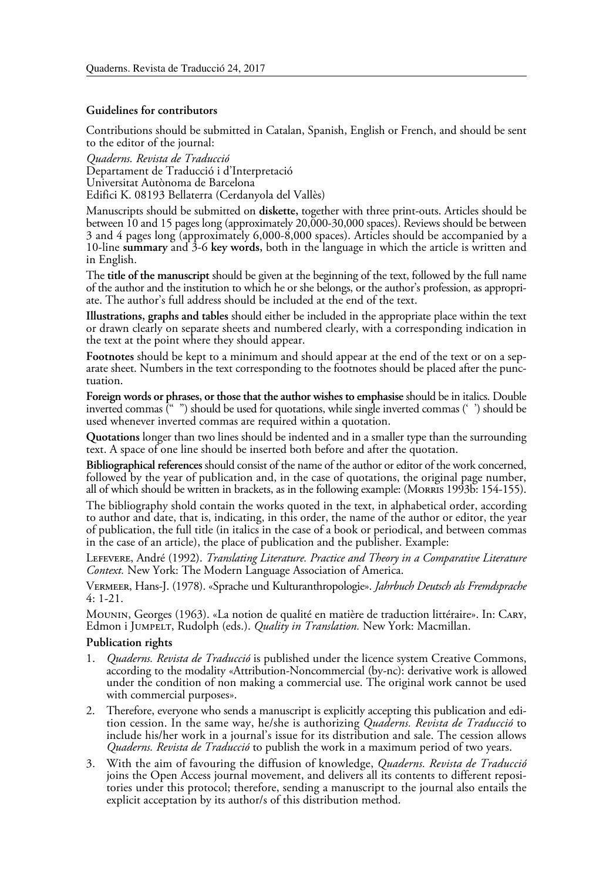## **Guidelines for contributors**

Contributions should be submitted in Catalan, Spanish, English or French, and should be sent to the editor of the journal:

*Quaderns. Revista de Traducció* Departament de Traducció i d'Interpretació Universitat Autònoma de Barcelona Edifici K. 08193 Bellaterra (Cerdanyola del Vallès)

Manuscripts should be submitted on **diskette,** together with three print-outs. Articles should be between 10 and 15 pages long (approximately 20,000-30,000 spaces). Reviews should be between 3 and 4 pages long (approximately 6,000-8,000 spaces). Articles should be accompanied by a 10-line **summary** and 3-6 **key words,** both in the language in which the article is written and in English.

The **title of the manuscript** should be given at the beginning of the text, followed by the full name of the author and the institution to which he or she belongs, or the author's profession, as appropriate. The author's full address should be included at the end of the text.

**Illustrations, graphs and tables** should either be included in the appropriate place within the text or drawn clearly on separate sheets and numbered clearly, with a corresponding indication in the text at the point where they should appear.

**Footnotes** should be kept to a minimum and should appear at the end of the text or on a separate sheet. Numbers in the text corresponding to the footnotes should be placed after the punctuation.

**Foreign words or phrases, or those that the author wishes to emphasise** should be in italics. Double inverted commas (" ") should be used for quotations, while single inverted commas (' ') should be used whenever inverted commas are required within a quotation.

**Quotations** longer than two lines should be indented and in a smaller type than the surrounding text. A space of one line should be inserted both before and after the quotation.

**Bibliographical references** should consist of the name of the author or editor of the work concerned, followed by the year of publication and, in the case of quotations, the original page number, all of which should be written in brackets, as in the following example: (Morris 1993b: 154-155).

The bibliography shold contain the works quoted in the text, in alphabetical order, according to author and date, that is, indicating, in this order, the name of the author or editor, the year of publication, the full title (in italics in the case of a book or periodical, and between commas in the case of an article), the place of publication and the publisher. Example:

Lefevere, André (1992). *Translating Literature. Practice and Theory in a Comparative Literature Context.* New York: The Modern Language Association of America.

Vermeer, Hans-J. (1978). «Sprache und Kulturanthropologie». *Jahrbuch Deutsch als Fremdsprache* 4: 1-21.

Mounin, Georges (1963). «La notion de qualité en matière de traduction littéraire». In: Cary, Edmon i Jumpelt, Rudolph (eds.). *Quality in Translation.* New York: Macmillan.

## **Publication rights**

- 1. *Quaderns. Revista de Traducció* is published under the licence system Creative Commons, according to the modality «Attribution-Noncommercial (by-nc): derivative work is allowed under the condition of non making a commercial use. The original work cannot be used with commercial purposes».
- 2. Therefore, everyone who sends a manuscript is explicitly accepting this publication and edition cession. In the same way, he/she is authorizing *Quaderns. Revista de Traducció* to include his/her work in a journal's issue for its distribution and sale. The cession allows *Quaderns. Revista de Traducció* to publish the work in a maximum period of two years.
- 3. With the aim of favouring the diffusion of knowledge, *Quaderns. Revista de Traducció* joins the Open Access journal movement, and delivers all its contents to different reposi- tories under this protocol; therefore, sending a manuscript to the journal also entails the explicit acceptation by its author/s of this distribution method.